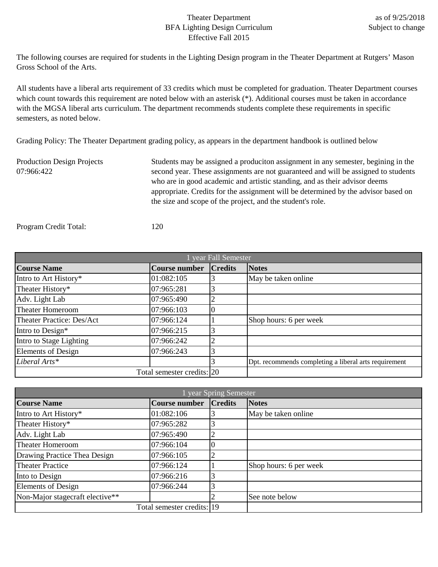## Theater Department BFA Lighting Design Curriculum Effective Fall 2015

The following courses are required for students in the Lighting Design program in the Theater Department at Rutgers' Mason Gross School of the Arts.

All students have a liberal arts requirement of 33 credits which must be completed for graduation. Theater Department courses which count towards this requirement are noted below with an asterisk (\*). Additional courses must be taken in accordance with the MGSA liberal arts curriculum. The department recommends students complete these requirements in specific semesters, as noted below.

Grading Policy: The Theater Department grading policy, as appears in the department handbook is outlined below

Production Design Projects 07:966:422 Students may be assigned a produciton assignment in any semester, begining in the second year. These assignments are not guaranteed and will be assigned to students who are in good academic and artistic standing, and as their advisor deems appropriate. Credits for the assignment will be determined by the advisor based on the size and scope of the project, and the student's role.

Program Credit Total: 120

| year Fall Semester        |                            |                |                                                       |
|---------------------------|----------------------------|----------------|-------------------------------------------------------|
| <b>Course Name</b>        | <b>Course number</b>       | <b>Credits</b> | <b>Notes</b>                                          |
| Intro to Art History*     | 01:082:105                 |                | May be taken online                                   |
| Theater History*          | 07:965:281                 | 3              |                                                       |
| Adv. Light Lab            | 07:965:490                 | $\overline{2}$ |                                                       |
| <b>Theater Homeroom</b>   | 07:966:103                 |                |                                                       |
| Theater Practice: Des/Act | 07:966:124                 |                | Shop hours: 6 per week                                |
| Intro to Design*          | 07:966:215                 | 3              |                                                       |
| Intro to Stage Lighting   | 07:966:242                 | ി<br>∠         |                                                       |
| <b>Elements of Design</b> | 07:966:243                 | 3              |                                                       |
| Liberal Arts*             |                            |                | Dpt. recommends completing a liberal arts requirement |
|                           | Total semester credits: 20 |                |                                                       |

| year Spring Semester            |                            |                |                        |
|---------------------------------|----------------------------|----------------|------------------------|
| <b>Course Name</b>              | Course number              | <b>Credits</b> | <b>Notes</b>           |
| Intro to Art History*           | 01:082:106                 |                | May be taken online    |
| Theater History*                | 07:965:282                 |                |                        |
| Adv. Light Lab                  | 07:965:490                 | ∠              |                        |
| <b>Theater Homeroom</b>         | 07:966:104                 |                |                        |
| Drawing Practice Thea Design    | 07:966:105                 |                |                        |
| <b>Theater Practice</b>         | 07:966:124                 |                | Shop hours: 6 per week |
| Into to Design                  | 07:966:216                 |                |                        |
| <b>Elements of Design</b>       | 07:966:244                 |                |                        |
| Non-Major stagecraft elective** |                            |                | See note below         |
|                                 | Total semester credits: 19 |                |                        |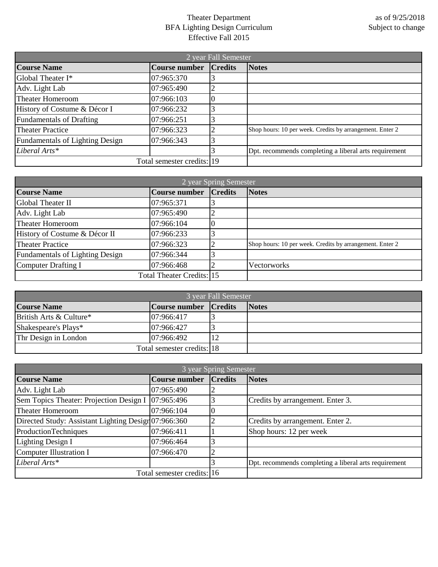## Theater Department BFA Lighting Design Curriculum Effective Fall 2015

| 2 year Fall Semester                   |                            |                |                                                          |
|----------------------------------------|----------------------------|----------------|----------------------------------------------------------|
| <b>Course Name</b>                     | <b>Course number</b>       | <b>Credits</b> | <b>Notes</b>                                             |
| Global Theater I*                      | 07:965:370                 |                |                                                          |
| Adv. Light Lab                         | 07:965:490                 |                |                                                          |
| <b>Theater Homeroom</b>                | 07:966:103                 |                |                                                          |
| History of Costume & Décor I           | 07:966:232                 |                |                                                          |
| <b>Fundamentals of Drafting</b>        | 07:966:251                 |                |                                                          |
| <b>Theater Practice</b>                | 07:966:323                 |                | Shop hours: 10 per week. Credits by arrangement. Enter 2 |
| <b>Fundamentals of Lighting Design</b> | 07:966:343                 |                |                                                          |
| Liberal Arts*                          |                            |                | Dpt. recommends completing a liberal arts requirement    |
|                                        | Total semester credits: 19 |                |                                                          |

| 2 year Spring Semester                 |                           |                |                                                          |
|----------------------------------------|---------------------------|----------------|----------------------------------------------------------|
| <b>Course Name</b>                     | Course number             | <b>Credits</b> | <b>Notes</b>                                             |
| Global Theater II                      | 07:965:371                |                |                                                          |
| Adv. Light Lab                         | 07:965:490                | ∠              |                                                          |
| <b>Theater Homeroom</b>                | 07:966:104                |                |                                                          |
| History of Costume & Décor II          | 07:966:233                |                |                                                          |
| <b>Theater Practice</b>                | 07:966:323                |                | Shop hours: 10 per week. Credits by arrangement. Enter 2 |
| <b>Fundamentals of Lighting Design</b> | 07:966:344                |                |                                                          |
| Computer Drafting I                    | 07:966:468                |                | <b>Vectorworks</b>                                       |
|                                        | Total Theater Credits: 15 |                |                                                          |

| 3 year Fall Semester    |                            |                |              |
|-------------------------|----------------------------|----------------|--------------|
| <b>Course Name</b>      | Course number              | <b>Credits</b> | <b>Notes</b> |
| British Arts & Culture* | 07:966:417                 |                |              |
| Shakespeare's Plays*    | 07:966:427                 |                |              |
| Thr Design in London    | 07:966:492                 |                |              |
|                         | Total semester credits: 18 |                |              |

| 3 year Spring Semester                              |                            |                |                                                       |
|-----------------------------------------------------|----------------------------|----------------|-------------------------------------------------------|
| <b>Course Name</b>                                  | <b>Course number</b>       | <b>Credits</b> | <b>Notes</b>                                          |
| Adv. Light Lab                                      | 07:965:490                 | ∠              |                                                       |
| Sem Topics Theater: Projection Design I             | 07:965:496                 |                | Credits by arrangement. Enter 3.                      |
| <b>Theater Homeroom</b>                             | 07:966:104                 |                |                                                       |
| Directed Study: Assistant Lighting Design07:966:360 |                            |                | Credits by arrangement. Enter 2.                      |
| ProductionTechniques                                | 07:966:411                 |                | Shop hours: 12 per week                               |
| <b>Lighting Design I</b>                            | 07:966:464                 |                |                                                       |
| <b>Computer Illustration I</b>                      | 07:966:470                 |                |                                                       |
| Liberal Arts*                                       |                            |                | Dpt. recommends completing a liberal arts requirement |
|                                                     | Total semester credits: 16 |                |                                                       |